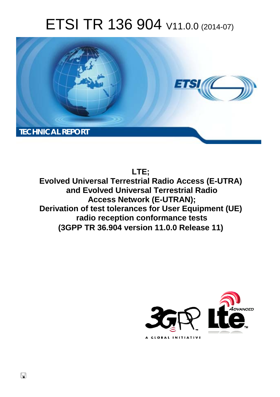# ETSI TR 136 904 V11.0.0 (2014-07)



# **LTE;**

**Evolved Universal Terrestrial Radio Access (E-UTRA) and Evolved Universal Terrestrial Radio Access Network (E-UTRAN); Derivation of test tolerances for User Equipment (UE) radio reception conformance tests (3GPP TR 36.904 version 11.0.0 Release 11)** 



 $\Box$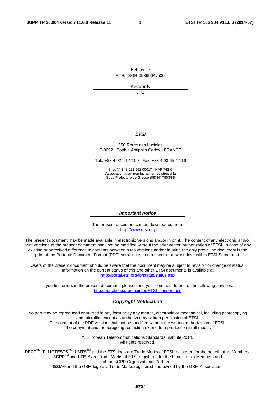Reference RTR/TSGR-0536904vb00

Keywords

 $\overline{1}$ 

#### *ETSI*

#### 650 Route des Lucioles F-06921 Sophia Antipolis Cedex - FRANCE

Tel.: +33 4 92 94 42 00 Fax: +33 4 93 65 47 16

Siret N° 348 623 562 00017 - NAF 742 C Association à but non lucratif enregistrée à la Sous-Préfecture de Grasse (06) N° 7803/88

#### *Important notice*

The present document can be downloaded from: [http://www.etsi.org](http://www.etsi.org/)

The present document may be made available in electronic versions and/or in print. The content of any electronic and/or print versions of the present document shall not be modified without the prior written authorization of ETSI. In case of any existing or perceived difference in contents between such versions and/or in print, the only prevailing document is the print of the Portable Document Format (PDF) version kept on a specific network drive within ETSI Secretariat.

Users of the present document should be aware that the document may be subject to revision or change of status. Information on the current status of this and other ETSI documents is available at <http://portal.etsi.org/tb/status/status.asp>

If you find errors in the present document, please send your comment to one of the following services: [http://portal.etsi.org/chaircor/ETSI\\_support.asp](http://portal.etsi.org/chaircor/ETSI_support.asp)

#### *Copyright Notification*

No part may be reproduced or utilized in any form or by any means, electronic or mechanical, including photocopying and microfilm except as authorized by written permission of ETSI.

The content of the PDF version shall not be modified without the written authorization of ETSI. The copyright and the foregoing restriction extend to reproduction in all media.

> © European Telecommunications Standards Institute 2014. All rights reserved.

**DECT**TM, **PLUGTESTS**TM, **UMTS**TM and the ETSI logo are Trade Marks of ETSI registered for the benefit of its Members. **3GPP**TM and **LTE**™ are Trade Marks of ETSI registered for the benefit of its Members and of the 3GPP Organizational Partners.

**GSM**® and the GSM logo are Trade Marks registered and owned by the GSM Association.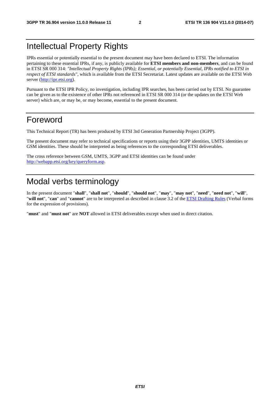### Intellectual Property Rights

IPRs essential or potentially essential to the present document may have been declared to ETSI. The information pertaining to these essential IPRs, if any, is publicly available for **ETSI members and non-members**, and can be found in ETSI SR 000 314: *"Intellectual Property Rights (IPRs); Essential, or potentially Essential, IPRs notified to ETSI in respect of ETSI standards"*, which is available from the ETSI Secretariat. Latest updates are available on the ETSI Web server [\(http://ipr.etsi.org](http://webapp.etsi.org/IPR/home.asp)).

Pursuant to the ETSI IPR Policy, no investigation, including IPR searches, has been carried out by ETSI. No guarantee can be given as to the existence of other IPRs not referenced in ETSI SR 000 314 (or the updates on the ETSI Web server) which are, or may be, or may become, essential to the present document.

### Foreword

This Technical Report (TR) has been produced by ETSI 3rd Generation Partnership Project (3GPP).

The present document may refer to technical specifications or reports using their 3GPP identities, UMTS identities or GSM identities. These should be interpreted as being references to the corresponding ETSI deliverables.

The cross reference between GSM, UMTS, 3GPP and ETSI identities can be found under [http://webapp.etsi.org/key/queryform.asp.](http://webapp.etsi.org/key/queryform.asp)

# Modal verbs terminology

In the present document "**shall**", "**shall not**", "**should**", "**should not**", "**may**", "**may not**", "**need**", "**need not**", "**will**", "**will not**", "**can**" and "**cannot**" are to be interpreted as described in clause 3.2 of the [ETSI Drafting Rules](http://portal.etsi.org/Help/editHelp!/Howtostart/ETSIDraftingRules.aspx) (Verbal forms for the expression of provisions).

"**must**" and "**must not**" are **NOT** allowed in ETSI deliverables except when used in direct citation.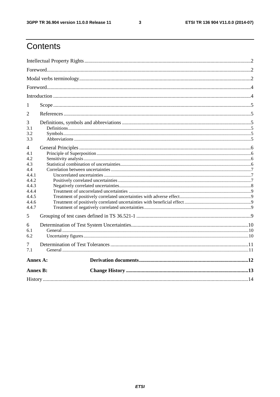$\mathbf{3}$ 

# Contents

| 1                                                                                            |  |  |  |  |  |  |  |
|----------------------------------------------------------------------------------------------|--|--|--|--|--|--|--|
| $\overline{2}$                                                                               |  |  |  |  |  |  |  |
| 3<br>3.1<br>3.2<br>3.3                                                                       |  |  |  |  |  |  |  |
| 4<br>4.1<br>4.2<br>4.3<br>4.4<br>4.4.1<br>4.4.2<br>4.4.3<br>4.4.4<br>4.4.5<br>4.4.6<br>4.4.7 |  |  |  |  |  |  |  |
| 5                                                                                            |  |  |  |  |  |  |  |
| 6<br>6.1<br>6.2                                                                              |  |  |  |  |  |  |  |
| 7<br>7.1                                                                                     |  |  |  |  |  |  |  |
| Annex A:                                                                                     |  |  |  |  |  |  |  |
| <b>Annex B:</b>                                                                              |  |  |  |  |  |  |  |
|                                                                                              |  |  |  |  |  |  |  |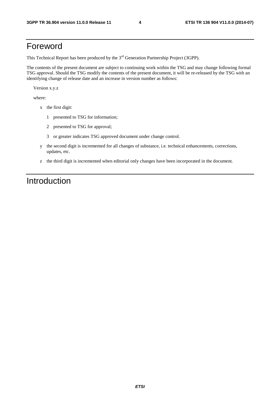### Foreword

This Technical Report has been produced by the  $3<sup>rd</sup>$  Generation Partnership Project (3GPP).

The contents of the present document are subject to continuing work within the TSG and may change following formal TSG approval. Should the TSG modify the contents of the present document, it will be re-released by the TSG with an identifying change of release date and an increase in version number as follows:

Version x.y.z

where:

- x the first digit:
	- 1 presented to TSG for information;
	- 2 presented to TSG for approval;
	- 3 or greater indicates TSG approved document under change control.
- y the second digit is incremented for all changes of substance, i.e. technical enhancements, corrections, updates, etc.
- z the third digit is incremented when editorial only changes have been incorporated in the document.

# Introduction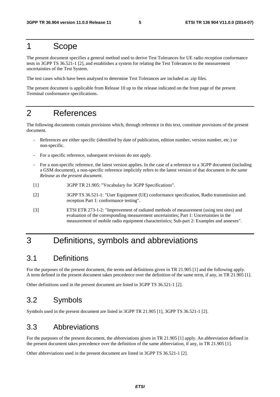### 1 Scope

The present document specifies a general method used to derive Test Tolerances for UE radio reception conformance tests in 3GPP TS 36.521-1 [2], and establishes a system for relating the Test Tolerances to the measurement uncertainties of the Test System.

The test cases which have been analysed to determine Test Tolerances are included as .zip files.

The present document is applicable from Release 10 up to the release indicated on the front page of the present Terminal conformance specifications.

# 2 References

The following documents contain provisions which, through reference in this text, constitute provisions of the present document.

- References are either specific (identified by date of publication, edition number, version number, etc.) or non-specific.
- For a specific reference, subsequent revisions do not apply.
- For a non-specific reference, the latest version applies. In the case of a reference to a 3GPP document (including a GSM document), a non-specific reference implicitly refers to the latest version of that document *in the same Release as the present document*.
- [1] 3GPP TR 21.905: "Vocabulary for 3GPP Specifications".
- [2] 3GPP TS 36.521-1: "User Equipment (UE) conformance specification, Radio transmission and reception Part 1: conformance testing".
- [3] ETSI ETR 273-1-2: "Improvement of radiated methods of measurement (using test sites) and evaluation of the corresponding measurement uncertainties; Part 1: Uncertainties in the measurement of mobile radio equipment characteristics; Sub-part 2: Examples and annexes".

### 3 Definitions, symbols and abbreviations

#### 3.1 Definitions

For the purposes of the present document, the terms and definitions given in TR 21.905 [1] and the following apply. A term defined in the present document takes precedence over the definition of the same term, if any, in TR 21.905 [1].

Other definitions used in the present document are listed in 3GPP TS 36.521-1 [2].

### 3.2 Symbols

Symbols used in the present document are listed in 3GPP TR 21.905 [1], 3GPP TS 36.521-1 [2].

#### 3.3 Abbreviations

For the purposes of the present document, the abbreviations given in TR 21.905 [1] apply. An abbreviation defined in the present document takes precedence over the definition of the same abbreviation, if any, in TR 21.905 [1].

Other abbreviations used in the present document are listed in 3GPP TS 36.521-1 [2].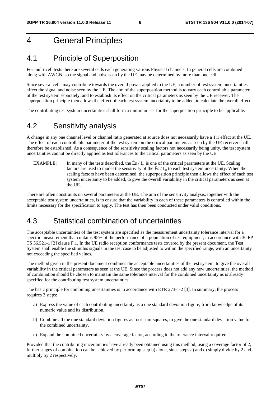# 4 General Principles

#### 4.1 Principle of Superposition

For multi-cell tests there are several cells each generating various Physical channels. In general cells are combined along with AWGN, so the signal and noise seen by the UE may be determined by more than one cell.

Since several cells may contribute towards the overall power applied to the UE, a number of test system uncertainties affect the signal and noise seen by the UE. The aim of the superposition method is to vary each controllable parameter of the test system separately, and to establish its effect on the critical parameters as seen by the UE receiver. The superposition principle then allows the effect of each test system uncertainty to be added, to calculate the overall effect.

The contributing test system uncertainties shall form a minimum set for the superposition principle to be applicable.

#### 4.2 Sensitivity analysis

A change in any one channel level or channel ratio generated at source does not necessarily have a 1:1 effect at the UE. The effect of each controllable parameter of the test system on the critical parameters as seen by the UE receiver shall therefore be established. As a consequence of the sensitivity scaling factors not necessarily being unity, the test system uncertainties cannot be directly applied as test tolerances to the critical parameters as seen by the UE.

EXAMPLE: In many of the tests described, the  $\hat{E} s / I_{\text{or}}$  is one of the critical parameters at the UE. Scaling factors are used to model the sensitivity of the  $\hat{E} s / I_{\text{ot}}$  to each test system uncertainty. When the scaling factors have been determined, the superposition principle then allows the effect of each test system uncertainty to be added, to give the overall variability in the critical parameters as seen at the UE.

There are often constraints on several parameters at the UE. The aim of the sensitivity analysis, together with the acceptable test system uncertainties, is to ensure that the variability in each of these parameters is controlled within the limits necessary for the specification to apply. The test has then been conducted under valid conditions.

#### 4.3 Statistical combination of uncertainties

The acceptable uncertainties of the test system are specified as the measurement uncertainty tolerance interval for a specific measurement that contains 95% of the performance of a population of test equipment, in accordance with 3GPP TS 36.521-1 [2] clause F.1. In the UE radio reception conformance tests covered by the present document, the Test System shall enable the stimulus signals in the test case to be adjusted to within the specified range, with an uncertainty not exceeding the specified values.

The method given in the present document combines the acceptable uncertainties of the test system, to give the overall variability in the critical parameters as seen at the UE. Since the process does not add any new uncertainties, the method of combination should be chosen to maintain the same tolerance interval for the combined uncertainty as is already specified for the contributing test system uncertainties.

The basic principle for combining uncertainties is in accordance with ETR 273-1-2 [3]. In summary, the process requires 3 steps:

- a) Express the value of each contributing uncertainty as a one standard deviation figure, from knowledge of its numeric value and its distribution.
- b) Combine all the one standard deviation figures as root-sum-squares, to give the one standard deviation value for the combined uncertainty.
- c) Expand the combined uncertainty by a coverage factor, according to the tolerance interval required.

Provided that the contributing uncertainties have already been obtained using this method, using a coverage factor of 2, further stages of combination can be achieved by performing step b) alone, since steps a) and c) simply divide by 2 and multiply by 2 respectively.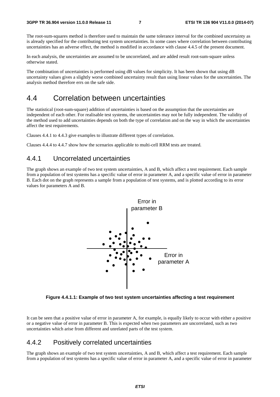The root-sum-squares method is therefore used to maintain the same tolerance interval for the combined uncertainty as is already specified for the contributing test system uncertainties. In some cases where correlation between contributing uncertainties has an adverse effect, the method is modified in accordance with clause 4.4.5 of the present document.

In each analysis, the uncertainties are assumed to be uncorrelated, and are added result root-sum-square unless otherwise stated.

The combination of uncertainties is performed using dB values for simplicity. It has been shown that using dB uncertainty values gives a slightly worse combined uncertainty result than using linear values for the uncertainties. The analysis method therefore errs on the safe side.

#### 4.4 Correlation between uncertainties

The statistical (root-sum-square) addition of uncertainties is based on the assumption that the uncertainties are independent of each other. For realisable test systems, the uncertainties may not be fully independent. The validity of the method used to add uncertainties depends on both the type of correlation and on the way in which the uncertainties affect the test requirements.

Clauses 4.4.1 to 4.4.3 give examples to illustrate different types of correlation.

Clauses 4.4.4 to 4.4.7 show how the scenarios applicable to multi-cell RRM tests are treated.

#### 4.4.1 Uncorrelated uncertainties

The graph shows an example of two test system uncertainties, A and B, which affect a test requirement. Each sample from a population of test systems has a specific value of error in parameter A, and a specific value of error in parameter B. Each dot on the graph represents a sample from a population of test systems, and is plotted according to its error values for parameters A and B.



**Figure 4.4.1.1: Example of two test system uncertainties affecting a test requirement** 

It can be seen that a positive value of error in parameter A, for example, is equally likely to occur with either a positive or a negative value of error in parameter B. This is expected when two parameters are uncorrelated, such as two uncertainties which arise from different and unrelated parts of the test system.

#### 4.4.2 Positively correlated uncertainties

The graph shows an example of two test system uncertainties, A and B, which affect a test requirement. Each sample from a population of test systems has a specific value of error in parameter A, and a specific value of error in parameter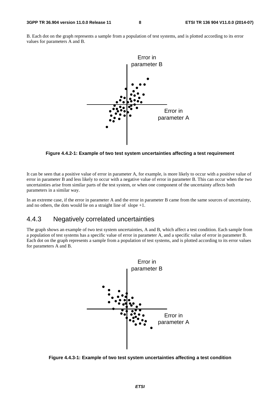B. Each dot on the graph represents a sample from a population of test systems, and is plotted according to its error values for parameters A and B.



**Figure 4.4.2-1: Example of two test system uncertainties affecting a test requirement** 

It can be seen that a positive value of error in parameter A, for example, is more likely to occur with a positive value of error in parameter B and less likely to occur with a negative value of error in parameter B. This can occur when the two uncertainties arise from similar parts of the test system, or when one component of the uncertainty affects both parameters in a similar way.

In an extreme case, if the error in parameter A and the error in parameter B came from the same sources of uncertainty, and no others, the dots would lie on a straight line of slope  $+1$ .

#### 4.4.3 Negatively correlated uncertainties

The graph shows an example of two test system uncertainties, A and B, which affect a test condition. Each sample from a population of test systems has a specific value of error in parameter A, and a specific value of error in parameter B. Each dot on the graph represents a sample from a population of test systems, and is plotted according to its error values for parameters A and B.



**Figure 4.4.3-1: Example of two test system uncertainties affecting a test condition**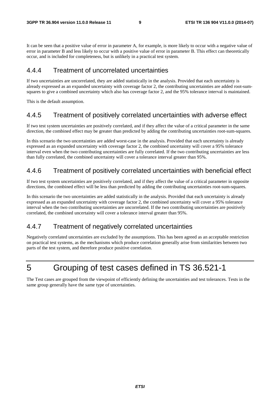It can be seen that a positive value of error in parameter A, for example, is more likely to occur with a negative value of error in parameter B and less likely to occur with a positive value of error in parameter B. This effect can theoretically occur, and is included for completeness, but is unlikely in a practical test system.

#### 4.4.4 Treatment of uncorrelated uncertainties

If two uncertainties are uncorrelated, they are added statistically in the analysis. Provided that each uncertainty is already expressed as an expanded uncertainty with coverage factor 2, the contributing uncertainties are added root-sumsquares to give a combined uncertainty which also has coverage factor 2, and the 95% tolerance interval is maintained.

This is the default assumption.

#### 4.4.5 Treatment of positively correlated uncertainties with adverse effect

If two test system uncertainties are positively correlated, and if they affect the value of a critical parameter in the same direction, the combined effect may be greater than predicted by adding the contributing uncertainties root-sum-squares.

In this scenario the two uncertainties are added worst-case in the analysis. Provided that each uncertainty is already expressed as an expanded uncertainty with coverage factor 2, the combined uncertainty will cover a 95% tolerance interval even when the two contributing uncertainties are fully correlated. If the two contributing uncertainties are less than fully correlated, the combined uncertainty will cover a tolerance interval greater than 95%.

#### 4.4.6 Treatment of positively correlated uncertainties with beneficial effect

If two test system uncertainties are positively correlated, and if they affect the value of a critical parameter in opposite directions, the combined effect will be less than predicted by adding the contributing uncertainties root-sum-squares.

In this scenario the two uncertainties are added statistically in the analysis. Provided that each uncertainty is already expressed as an expanded uncertainty with coverage factor 2, the combined uncertainty will cover a 95% tolerance interval when the two contributing uncertainties are uncorrelated. If the two contributing uncertainties are positively correlated, the combined uncertainty will cover a tolerance interval greater than 95%.

#### 4.4.7 Treatment of negatively correlated uncertainties

Negatively correlated uncertainties are excluded by the assumptions. This has been agreed as an acceptable restriction on practical test systems, as the mechanisms which produce correlation generally arise from similarities between two parts of the test system, and therefore produce positive correlation.

# 5 Grouping of test cases defined in TS 36.521-1

The Test cases are grouped from the viewpoint of efficiently defining the uncertainties and test tolerances. Tests in the same group generally have the same type of uncertainties.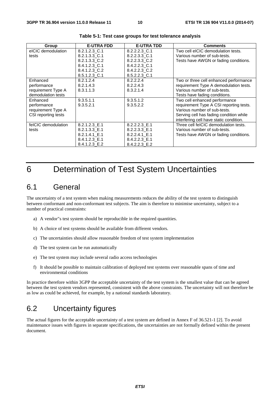| Group               | <b>E-UTRA FDD</b> | <b>E-UTRA TDD</b> | <b>Comments</b>                         |
|---------------------|-------------------|-------------------|-----------------------------------------|
| eICIC demodulation  | 8.2.1.2.3 C.1     | 8.2.2.2.3 C.1     | Two cell eICIC demodulation tests.      |
| tests               | 8.2.1.3.3 C.1     | 8.2.2.3.3 C.1     | Various number of sub-tests.            |
|                     | 8.2.1.3.3 C.2     | 8.2.2.3.3 C.2     | Tests have AWGN or fading conditions.   |
|                     | 8.4.1.2.3 C.1     | 8.4.2.2.3 C.1     |                                         |
|                     | 8.4.1.2.3 C.2     | 8.4.2.2.3 C.2     |                                         |
|                     | 8.5.1.2.3 C.1     | 8.5.2.2.3 C.1     |                                         |
| Enhanced            | 8.2.1.2.4         | 8.2.2.2.4         | Two or three cell enhanced performance  |
| performance         | 8.2.1.4.3         | 8.2.2.4.3         | requirement Type A demodulation tests.  |
| requirement Type A  | 8.3.1.1.3         | 8.3.2.1.4         | Various number of sub-tests.            |
| demodulation tests  |                   |                   | Tests have fading conditions.           |
| Enhanced            | 9.3.5.1.1         | 9.3.5.1.2         | Two cell enhanced performance           |
| performance         | 9.3.5.2.1         | 9.3.5.2.2         | requirement Type A CSI reporting tests. |
| requirement Type A  |                   |                   | Various number of sub-tests.            |
| CSI reporting tests |                   |                   | Serving cell has fading condition while |
|                     |                   |                   | interfering cell have static condition. |
| felCIC demodulation | 8.2.1.2.3 E.1     | 8.2.2.2.3 E.1     | Three cell felCIC demodulation tests.   |
| tests               | 8.2.1.3.3 E.1     | 8.2.2.3.3 E.1     | Various number of sub-tests.            |
|                     | 8.2.1.4.1 E.1     | 8.2.2.4.1 E.1     | Tests have AWGN or fading conditions.   |
|                     | 8.4.1.2.3 E.1     | 8.4.2.2.3 E.1     |                                         |
|                     | 8.4.1.2.3 E.2     | 8.4.2.2.3 E.2     |                                         |

**Table 5-1: Test case groups for test tolerance analysis** 

# 6 Determination of Test System Uncertainties

#### 6.1 General

The uncertainty of a test system when making measurements reduces the ability of the test system to distinguish between conformant and non-conformant test subjects. The aim is therefore to minimise uncertainty, subject to a number of practical constraints:

- a) A vendor"s test system should be reproducible in the required quantities.
- b) A choice of test systems should be available from different vendors.
- c) The uncertainties should allow reasonable freedom of test system implementation
- d) The test system can be run automatically
- e) The test system may include several radio access technologies
- f) It should be possible to maintain calibration of deployed test systems over reasonable spans of time and environmental conditions

In practice therefore within 3GPP the acceptable uncertainty of the test system is the smallest value that can be agreed between the test system vendors represented, consistent with the above constraints. The uncertainty will not therefore be as low as could be achieved, for example, by a national standards laboratory.

### 6.2 Uncertainty figures

The actual figures for the acceptable uncertainty of a test system are defined in Annex F of 36.521-1 [2]. To avoid maintenance issues with figures in separate specifications, the uncertainties are not formally defined within the present document.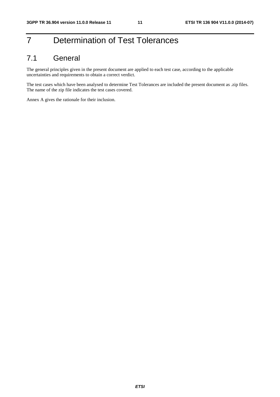# 7 Determination of Test Tolerances

### 7.1 General

The general principles given in the present document are applied to each test case, according to the applicable uncertainties and requirements to obtain a correct verdict.

The test cases which have been analysed to determine Test Tolerances are included the present document as .zip files. The name of the zip file indicates the test cases covered.

Annex A gives the rationale for their inclusion.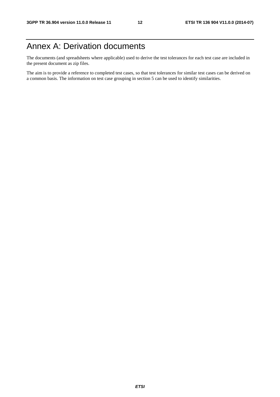# Annex A: Derivation documents

The documents (and spreadsheets where applicable) used to derive the test tolerances for each test case are included in the present document as zip files.

The aim is to provide a reference to completed test cases, so that test tolerances for similar test cases can be derived on a common basis. The information on test case grouping in section 5 can be used to identify similarities.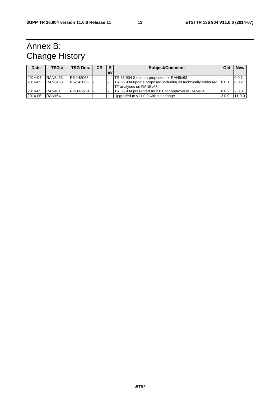# Annex B: Change History

| <b>Date</b> | TSG #          | <b>TSG Doc.</b> | <b>CR</b> | R         | <b>Subject/Comment</b>                                                                       |       | <b>New</b> |
|-------------|----------------|-----------------|-----------|-----------|----------------------------------------------------------------------------------------------|-------|------------|
|             |                |                 |           | <b>ev</b> |                                                                                              |       |            |
| 2014-04     | RAN5#63        | R5-142065       |           |           | TR 36.904 Skeleton proposed for RAN5#63                                                      |       | 0.0.1      |
| 2014-05     | <b>RAN5#63</b> | R5-142066       |           |           | TR 36.904 update proposed including all technically endorsed 0.0.1<br>TT analyses on RAN5#63 |       | 0.0.2      |
| 2014-05     | <b>RAN#64</b>  | RP-140610       |           |           | TR 36.904 presented as 2.0.0 for approval at RAN#64                                          | 0.0.2 | 2.0.0      |
| 2014-06     | <b>RAN#64</b>  |                 |           |           | Upgraded to v11.0.0 with no change                                                           | 2.0.0 | 11.0.0     |